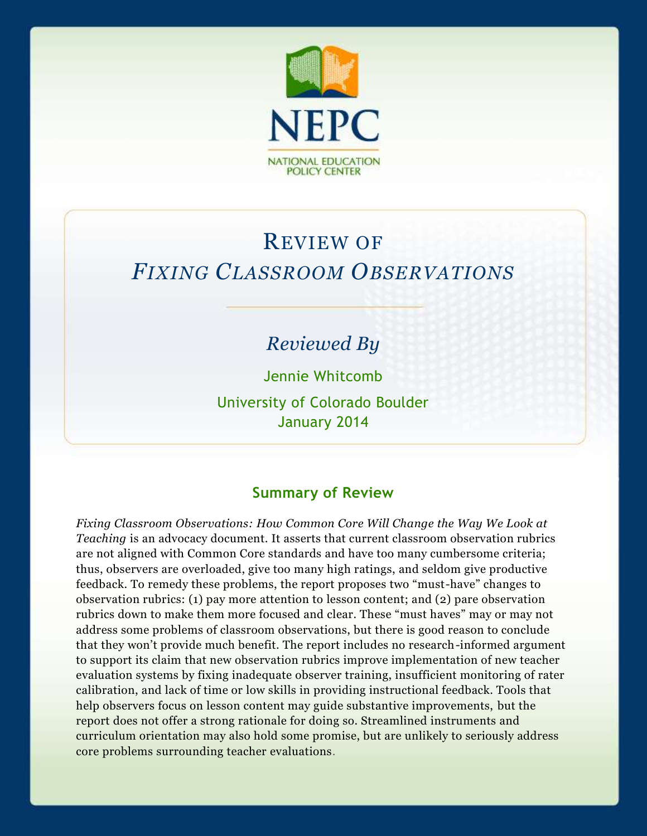

# REVIEW OF *FIXING CLASSROOM OBSERVATIONS*

## *Reviewed By*

Jennie Whitcomb

University of Colorado Boulder January 2014

#### **Summary of Review**

*Fixing Classroom Observations: How Common Core Will Change the Way We Look at Teaching* is an advocacy document. It asserts that current classroom observation rubrics are not aligned with Common Core standards and have too many cumbersome criteria; thus, observers are overloaded, give too many high ratings, and seldom give productive feedback. To remedy these problems, the report proposes two "must-have" changes to observation rubrics: (1) pay more attention to lesson content; and (2) pare observation rubrics down to make them more focused and clear. These "must haves" may or may not address some problems of classroom observations, but there is good reason to conclude that they won't provide much benefit. The report includes no research-informed argument to support its claim that new observation rubrics improve implementation of new teacher evaluation systems by fixing inadequate observer training, insufficient monitoring of rater calibration, and lack of time or low skills in providing instructional feedback. Tools that help observers focus on lesson content may guide substantive improvements, but the report does not offer a strong rationale for doing so. Streamlined instruments and curriculum orientation may also hold some promise, but are unlikely to seriously address core problems surrounding teacher evaluations.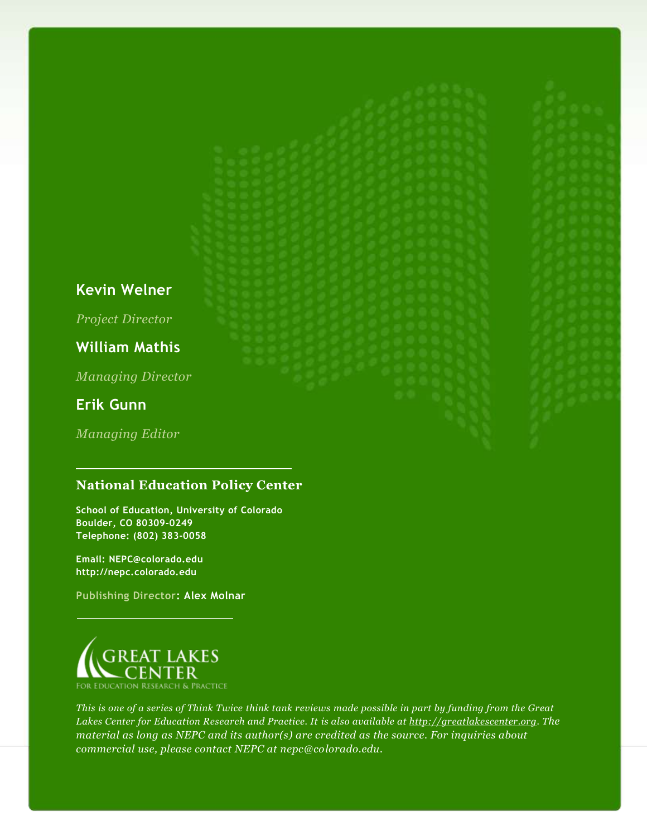#### **Kevin Welner**

*Project Director*

#### **William Mathis**

*Managing Director*

#### **Erik Gunn**

*Managing Editor*

#### **National Education Policy Center**

**School of Education, University of Colorado Boulder, CO 80309-0249 Telephone: (802) 383-0058**

**Email: NEPC@colorado.edu http://nepc.colorado.edu**

**Publishing Director: Alex Molnar**



*This is one of a series of Think Twice think tank reviews made possible in part by funding from the Great Lakes Center for Education Research and Practice. It is also available at [http://greatlakescenter.org.](http://greatlakescenter.org/) The material as long as NEPC and its author(s) are credited as the source. For inquiries about commercial use, please contact NEPC at nepc@colorado.edu.*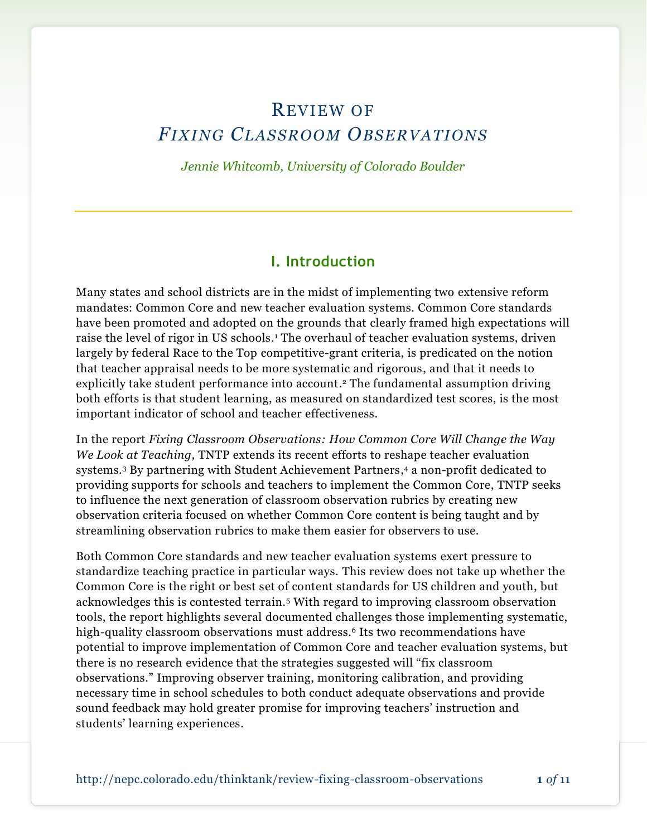## REVIEW OF *FIXING CLASSROOM OBSERVATIONS*

*Jennie Whitcomb, University of Colorado Boulder*

#### **I. Introduction**

Many states and school districts are in the midst of implementing two extensive reform mandates: Common Core and new teacher evaluation systems. Common Core standards have been promoted and adopted on the grounds that clearly framed high expectations will raise the level of rigor in US schools. <sup>1</sup> The overhaul of teacher evaluation systems, driven largely by federal Race to the Top competitive-grant criteria, is predicated on the notion that teacher appraisal needs to be more systematic and rigorous, and that it needs to explicitly take student performance into account. <sup>2</sup> The fundamental assumption driving both efforts is that student learning, as measured on standardized test scores, is the most important indicator of school and teacher effectiveness.

In the report *Fixing Classroom Observations: How Common Core Will Change the Way We Look at Teaching,* TNTP extends its recent efforts to reshape teacher evaluation systems. <sup>3</sup> By partnering with Student Achievement Partners, <sup>4</sup> a non-profit dedicated to providing supports for schools and teachers to implement the Common Core, TNTP seeks to influence the next generation of classroom observation rubrics by creating new observation criteria focused on whether Common Core content is being taught and by streamlining observation rubrics to make them easier for observers to use.

Both Common Core standards and new teacher evaluation systems exert pressure to standardize teaching practice in particular ways. This review does not take up whether the Common Core is the right or best set of content standards for US children and youth, but acknowledges this is contested terrain.<sup>5</sup> With regard to improving classroom observation tools, the report highlights several documented challenges those implementing systematic, high-quality classroom observations must address. <sup>6</sup> Its two recommendations have potential to improve implementation of Common Core and teacher evaluation systems, but there is no research evidence that the strategies suggested will "fix classroom observations." Improving observer training, monitoring calibration, and providing necessary time in school schedules to both conduct adequate observations and provide sound feedback may hold greater promise for improving teachers' instruction and students' learning experiences.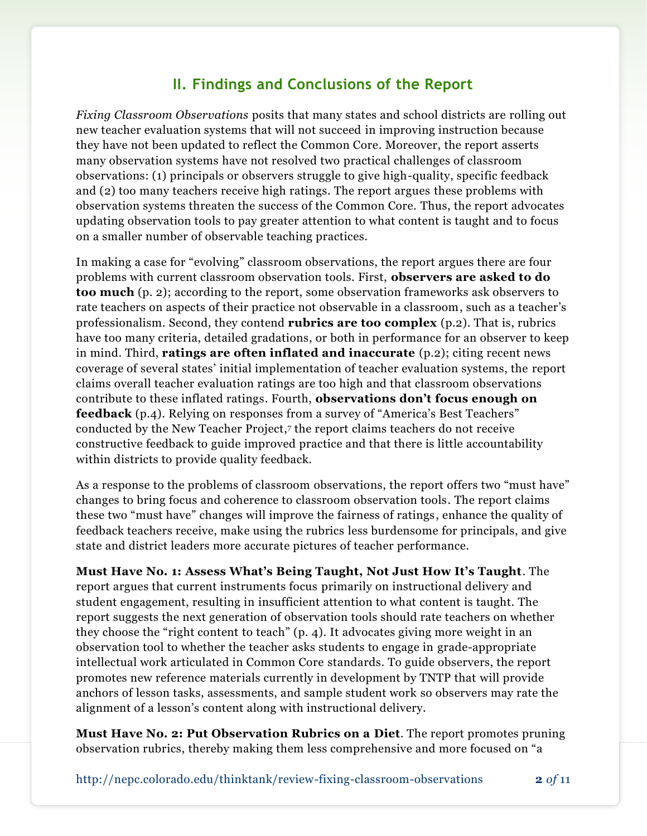#### **II. Findings and Conclusions of the Report**

*Fixing Classroom Observations* posits that many states and school districts are rolling out new teacher evaluation systems that will not succeed in improving instruction because they have not been updated to reflect the Common Core. Moreover, the report asserts many observation systems have not resolved two practical challenges of classroom observations: (1) principals or observers struggle to give high-quality, specific feedback and (2) too many teachers receive high ratings. The report argues these problems with observation systems threaten the success of the Common Core. Thus, the report advocates updating observation tools to pay greater attention to what content is taught and to focus on a smaller number of observable teaching practices.

In making a case for "evolving" classroom observations, the report argues there are four problems with current classroom observation tools. First, **observers are asked to do too much** (p. 2); according to the report, some observation frameworks ask observers to rate teachers on aspects of their practice not observable in a classroom, such as a teacher's professionalism. Second, they contend **rubrics are too complex** (p.2). That is, rubrics have too many criteria, detailed gradations, or both in performance for an observer to keep in mind. Third, **ratings are often inflated and inaccurate** (p.2); citing recent news coverage of several states' initial implementation of teacher evaluation systems, the report claims overall teacher evaluation ratings are too high and that classroom observations contribute to these inflated ratings. Fourth, **observations don't focus enough on feedback** (p.4). Relying on responses from a survey of "America's Best Teachers" conducted by the New Teacher Project, 7 the report claims teachers do not receive constructive feedback to guide improved practice and that there is little accountability within districts to provide quality feedback.

As a response to the problems of classroom observations, the report offers two "must have" changes to bring focus and coherence to classroom observation tools. The report claims these two "must have" changes will improve the fairness of ratings, enhance the quality of feedback teachers receive, make using the rubrics less burdensome for principals, and give state and district leaders more accurate pictures of teacher performance.

**Must Have No. 1: Assess What's Being Taught, Not Just How It's Taught**. The report argues that current instruments focus primarily on instructional delivery and student engagement, resulting in insufficient attention to what content is taught. The report suggests the next generation of observation tools should rate teachers on whether they choose the "right content to teach" (p. 4). It advocates giving more weight in an observation tool to whether the teacher asks students to engage in grade-appropriate intellectual work articulated in Common Core standards. To guide observers, the report promotes new reference materials currently in development by TNTP that will provide anchors of lesson tasks, assessments, and sample student work so observers may rate the alignment of a lesson's content along with instructional delivery.

**Must Have No. 2: Put Observation Rubrics on a Diet**. The report promotes pruning observation rubrics, thereby making them less comprehensive and more focused on "a

<http://nepc.colorado.edu/thinktank/review-fixing-classroom-observations> **2** *of* 11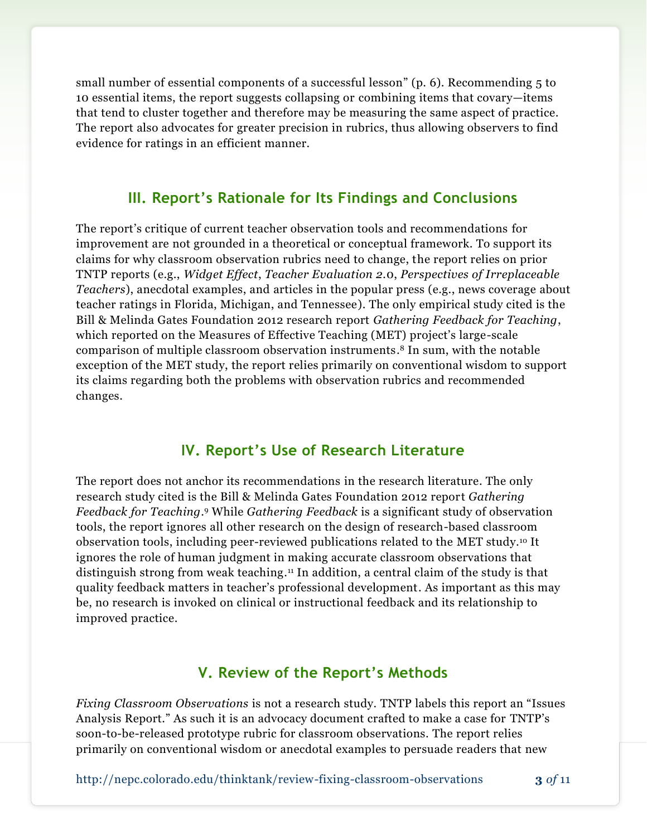small number of essential components of a successful lesson" (p. 6). Recommending 5 to 10 essential items, the report suggests collapsing or combining items that covary—items that tend to cluster together and therefore may be measuring the same aspect of practice. The report also advocates for greater precision in rubrics, thus allowing observers to find evidence for ratings in an efficient manner.

#### **III. Report's Rationale for Its Findings and Conclusions**

The report's critique of current teacher observation tools and recommendations for improvement are not grounded in a theoretical or conceptual framework. To support its claims for why classroom observation rubrics need to change, the report relies on prior TNTP reports (e.g., *Widget Effect*, *Teacher Evaluation 2.*0, *Perspectives of Irreplaceable Teachers*), anecdotal examples, and articles in the popular press (e.g., news coverage about teacher ratings in Florida, Michigan, and Tennessee). The only empirical study cited is the Bill & Melinda Gates Foundation 2012 research report *Gathering Feedback for Teaching*, which reported on the Measures of Effective Teaching (MET) project's large-scale comparison of multiple classroom observation instruments. <sup>8</sup> In sum, with the notable exception of the MET study, the report relies primarily on conventional wisdom to support its claims regarding both the problems with observation rubrics and recommended changes.

#### **IV. Report's Use of Research Literature**

The report does not anchor its recommendations in the research literature. The only research study cited is the Bill & Melinda Gates Foundation 2012 report *Gathering Feedback for Teaching*. <sup>9</sup> While *Gathering Feedback* is a significant study of observation tools, the report ignores all other research on the design of research-based classroom observation tools, including peer-reviewed publications related to the MET study.<sup>10</sup> It ignores the role of human judgment in making accurate classroom observations that distinguish strong from weak teaching. <sup>11</sup> In addition, a central claim of the study is that quality feedback matters in teacher's professional development. As important as this may be, no research is invoked on clinical or instructional feedback and its relationship to improved practice.

#### **V. Review of the Report's Methods**

*Fixing Classroom Observations* is not a research study. TNTP labels this report an "Issues Analysis Report." As such it is an advocacy document crafted to make a case for TNTP's soon-to-be-released prototype rubric for classroom observations. The report relies primarily on conventional wisdom or anecdotal examples to persuade readers that new

<http://nepc.colorado.edu/thinktank/review-fixing-classroom-observations> **3** *of* 11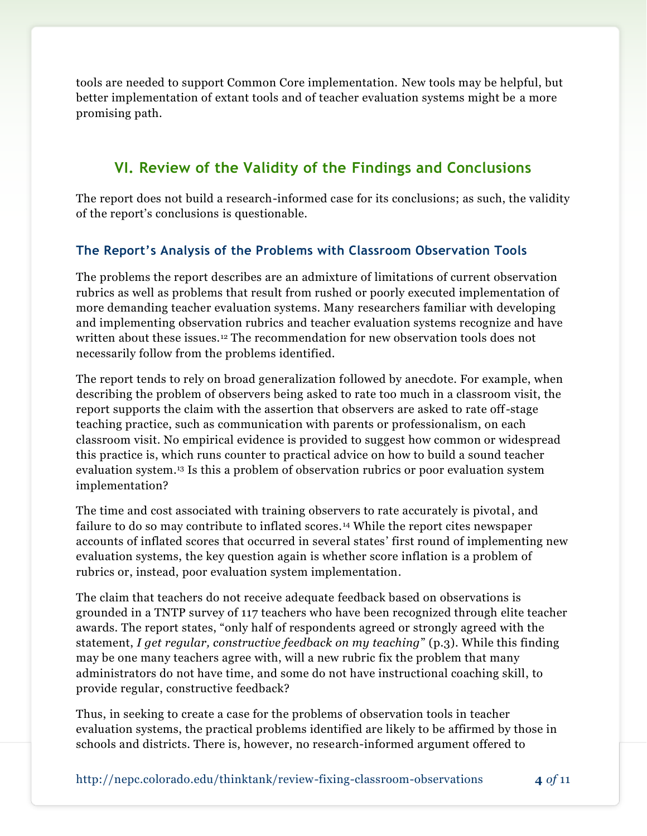tools are needed to support Common Core implementation. New tools may be helpful, but better implementation of extant tools and of teacher evaluation systems might be a more promising path.

#### **VI. Review of the Validity of the Findings and Conclusions**

The report does not build a research-informed case for its conclusions; as such, the validity of the report's conclusions is questionable.

#### **The Report's Analysis of the Problems with Classroom Observation Tools**

The problems the report describes are an admixture of limitations of current observation rubrics as well as problems that result from rushed or poorly executed implementation of more demanding teacher evaluation systems. Many researchers familiar with developing and implementing observation rubrics and teacher evaluation systems recognize and have written about these issues.<sup>12</sup> The recommendation for new observation tools does not necessarily follow from the problems identified.

The report tends to rely on broad generalization followed by anecdote. For example, when describing the problem of observers being asked to rate too much in a classroom visit, the report supports the claim with the assertion that observers are asked to rate off-stage teaching practice, such as communication with parents or professionalism, on each classroom visit. No empirical evidence is provided to suggest how common or widespread this practice is, which runs counter to practical advice on how to build a sound teacher evaluation system. <sup>13</sup> Is this a problem of observation rubrics or poor evaluation system implementation?

The time and cost associated with training observers to rate accurately is pivotal, and failure to do so may contribute to inflated scores. <sup>14</sup> While the report cites newspaper accounts of inflated scores that occurred in several states' first round of implementing new evaluation systems, the key question again is whether score inflation is a problem of rubrics or, instead, poor evaluation system implementation.

The claim that teachers do not receive adequate feedback based on observations is grounded in a TNTP survey of 117 teachers who have been recognized through elite teacher awards. The report states, "only half of respondents agreed or strongly agreed with the statement, *I get regular, constructive feedback on my teaching*" (p.3). While this finding may be one many teachers agree with, will a new rubric fix the problem that many administrators do not have time, and some do not have instructional coaching skill, to provide regular, constructive feedback?

Thus, in seeking to create a case for the problems of observation tools in teacher evaluation systems, the practical problems identified are likely to be affirmed by those in schools and districts. There is, however, no research-informed argument offered to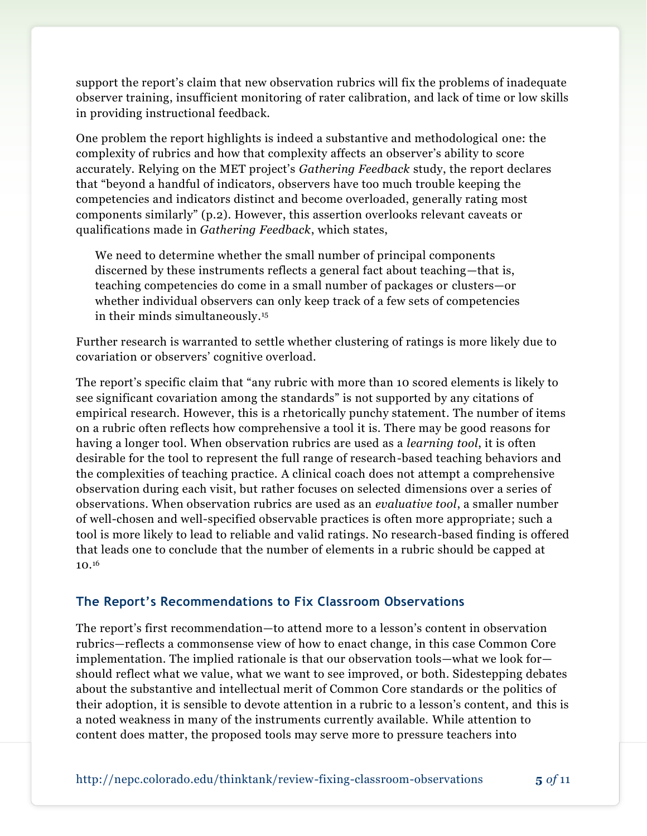support the report's claim that new observation rubrics will fix the problems of inadequate observer training, insufficient monitoring of rater calibration, and lack of time or low skills in providing instructional feedback.

One problem the report highlights is indeed a substantive and methodological one: the complexity of rubrics and how that complexity affects an observer's ability to score accurately. Relying on the MET project's *Gathering Feedback* study, the report declares that "beyond a handful of indicators, observers have too much trouble keeping the competencies and indicators distinct and become overloaded, generally rating most components similarly" (p.2). However, this assertion overlooks relevant caveats or qualifications made in *Gathering Feedback*, which states,

We need to determine whether the small number of principal components discerned by these instruments reflects a general fact about teaching—that is, teaching competencies do come in a small number of packages or clusters—or whether individual observers can only keep track of a few sets of competencies in their minds simultaneously. 15

Further research is warranted to settle whether clustering of ratings is more likely due to covariation or observers' cognitive overload.

The report's specific claim that "any rubric with more than 10 scored elements is likely to see significant covariation among the standards" is not supported by any citations of empirical research. However, this is a rhetorically punchy statement. The number of items on a rubric often reflects how comprehensive a tool it is. There may be good reasons for having a longer tool. When observation rubrics are used as a *learning tool*, it is often desirable for the tool to represent the full range of research-based teaching behaviors and the complexities of teaching practice. A clinical coach does not attempt a comprehensive observation during each visit, but rather focuses on selected dimensions over a series of observations. When observation rubrics are used as an *evaluative tool*, a smaller number of well-chosen and well-specified observable practices is often more appropriate; such a tool is more likely to lead to reliable and valid ratings. No research-based finding is offered that leads one to conclude that the number of elements in a rubric should be capped at  $10.^{16}$ 

#### **The Report's Recommendations to Fix Classroom Observations**

The report's first recommendation—to attend more to a lesson's content in observation rubrics—reflects a commonsense view of how to enact change, in this case Common Core implementation. The implied rationale is that our observation tools—what we look for should reflect what we value, what we want to see improved, or both. Sidestepping debates about the substantive and intellectual merit of Common Core standards or the politics of their adoption, it is sensible to devote attention in a rubric to a lesson's content, and this is a noted weakness in many of the instruments currently available. While attention to content does matter, the proposed tools may serve more to pressure teachers into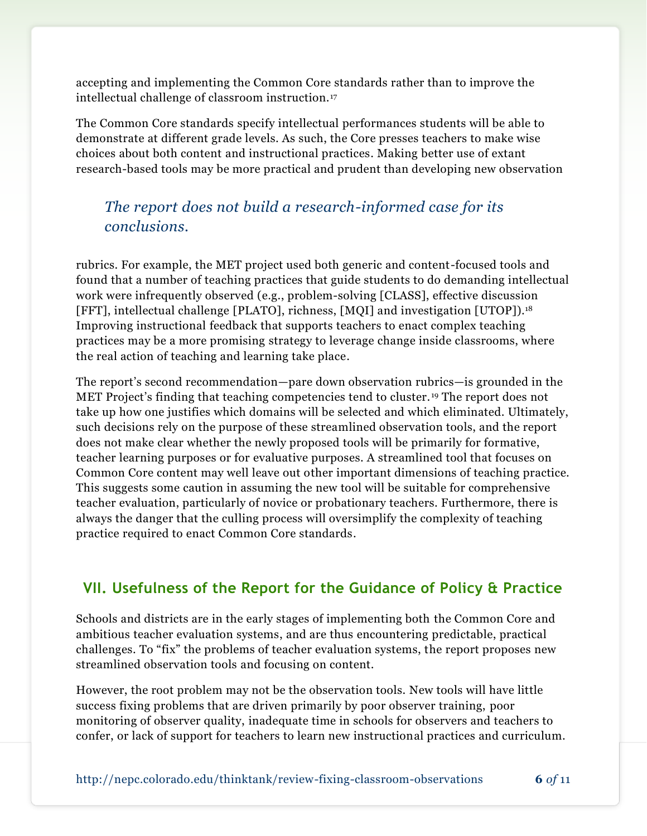accepting and implementing the Common Core standards rather than to improve the intellectual challenge of classroom instruction. <sup>17</sup>

The Common Core standards specify intellectual performances students will be able to demonstrate at different grade levels. As such, the Core presses teachers to make wise choices about both content and instructional practices. Making better use of extant research-based tools may be more practical and prudent than developing new observation

### *The report does not build a research-informed case for its conclusions.*

rubrics. For example, the MET project used both generic and content-focused tools and found that a number of teaching practices that guide students to do demanding intellectual work were infrequently observed (e.g., problem-solving [CLASS], effective discussion [FFT], intellectual challenge [PLATO], richness, [MQI] and investigation [UTOP]). 18 Improving instructional feedback that supports teachers to enact complex teaching practices may be a more promising strategy to leverage change inside classrooms, where the real action of teaching and learning take place.

The report's second recommendation—pare down observation rubrics—is grounded in the MET Project's finding that teaching competencies tend to cluster. <sup>19</sup> The report does not take up how one justifies which domains will be selected and which eliminated. Ultimately, such decisions rely on the purpose of these streamlined observation tools, and the report does not make clear whether the newly proposed tools will be primarily for formative, teacher learning purposes or for evaluative purposes. A streamlined tool that focuses on Common Core content may well leave out other important dimensions of teaching practice. This suggests some caution in assuming the new tool will be suitable for comprehensive teacher evaluation, particularly of novice or probationary teachers. Furthermore, there is always the danger that the culling process will oversimplify the complexity of teaching practice required to enact Common Core standards.

#### **VII. Usefulness of the Report for the Guidance of Policy & Practice**

Schools and districts are in the early stages of implementing both the Common Core and ambitious teacher evaluation systems, and are thus encountering predictable, practical challenges. To "fix" the problems of teacher evaluation systems, the report proposes new streamlined observation tools and focusing on content.

However, the root problem may not be the observation tools. New tools will have little success fixing problems that are driven primarily by poor observer training, poor monitoring of observer quality, inadequate time in schools for observers and teachers to confer, or lack of support for teachers to learn new instructional practices and curriculum.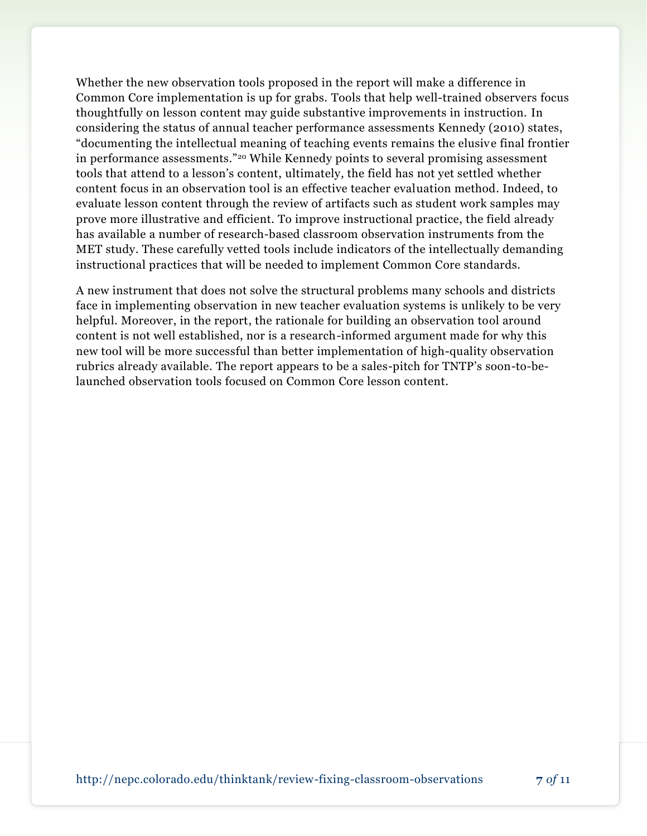Whether the new observation tools proposed in the report will make a difference in Common Core implementation is up for grabs. Tools that help well-trained observers focus thoughtfully on lesson content may guide substantive improvements in instruction. In considering the status of annual teacher performance assessments Kennedy (2010) states, "documenting the intellectual meaning of teaching events remains the elusive final frontier in performance assessments."<sup>20</sup> While Kennedy points to several promising assessment tools that attend to a lesson's content, ultimately, the field has not yet settled whether content focus in an observation tool is an effective teacher evaluation method. Indeed, to evaluate lesson content through the review of artifacts such as student work samples may prove more illustrative and efficient. To improve instructional practice, the field already has available a number of research-based classroom observation instruments from the MET study. These carefully vetted tools include indicators of the intellectually demanding instructional practices that will be needed to implement Common Core standards.

A new instrument that does not solve the structural problems many schools and districts face in implementing observation in new teacher evaluation systems is unlikely to be very helpful. Moreover, in the report, the rationale for building an observation tool around content is not well established, nor is a research-informed argument made for why this new tool will be more successful than better implementation of high-quality observation rubrics already available. The report appears to be a sales-pitch for TNTP's soon-to-belaunched observation tools focused on Common Core lesson content.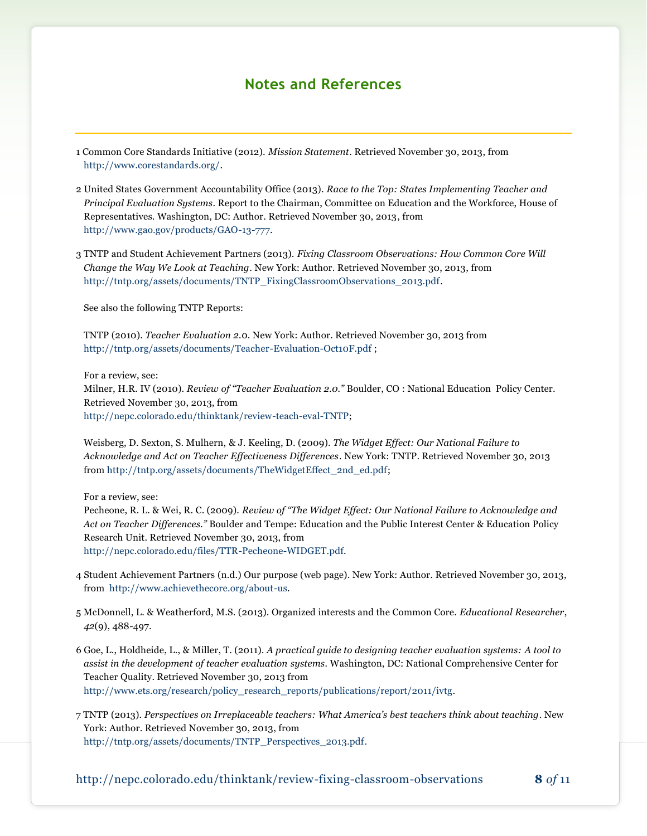#### **Notes and References**

1 Common Core Standards Initiative (2012). *Mission Statement*. Retrieved November 30, 2013, from [http://www.corestandards.org/.](http://www.corestandards.org/)

- 2 United States Government Accountability Office (2013). *Race to the Top: States Implementing Teacher and Principal Evaluation Systems*. Report to the Chairman, Committee on Education and the Workforce, House of Representatives. Washington, DC: Author. Retrieved November 30, 2013, from [http://www.gao.gov/products/GAO-13-777.](http://www.gao.gov/products/GAO-13-777)
- 3 TNTP and Student Achievement Partners (2013). *Fixing Classroom Observations: How Common Core Will Change the Way We Look at Teaching*. New York: Author. Retrieved November 30, 2013, from [http://tntp.org/assets/documents/TNTP\\_FixingClassroomObservations\\_2013.pdf.](http://tntp.org/assets/documents/TNTP_FixingClassroomObservations_2013.pdf)

See also the following TNTP Reports:

TNTP (2010). *Teacher Evaluation 2.*0. New York: Author. Retrieved November 30, 2013 from <http://tntp.org/assets/documents/Teacher-Evaluation-Oct10F.pdf> ;

For a review, see:

Milner, H.R. IV (2010). *Review of "Teacher Evaluation 2.0."* Boulder, CO : National Education Policy Center. Retrieved November 30, 2013, from [http://nepc.colorado.edu/thinktank/review-teach-eval-TNTP;](http://nepc.colorado.edu/thinktank/review-teach-eval-TNTP)

Weisberg, D. Sexton, S. Mulhern, & J. Keeling, D. (2009). *The Widget Effect: Our National Failure to Acknowledge and Act on Teacher Effectiveness Differences*. New York: TNTP. Retrieved November 30, 2013 from [http://tntp.org/assets/documents/TheWidgetEffect\\_2nd\\_ed.pdf;](http://tntp.org/assets/documents/TheWidgetEffect_2nd_ed.pdf)

For a review, see:

Pecheone, R. L. & Wei, R. C. (2009). *Review of "The Widget Effect: Our National Failure to Acknowledge and Act on Teacher Differences."* Boulder and Tempe: Education and the Public Interest Center & Education Policy Research Unit. Retrieved November 30, 2013, from [http://nepc.colorado.edu/files/TTR-Pecheone-WIDGET.pdf.](http://nepc.colorado.edu/files/TTR-Pecheone-WIDGET.pdf)

- 4 Student Achievement Partners (n.d.) Our purpose (web page). New York: Author. Retrieved November 30, 2013, from [http://www.achievethecore.org/about-us.](http://www.achievethecore.org/about-us)
- 5 McDonnell, L. & Weatherford, M.S. (2013). Organized interests and the Common Core. *Educational Researcher*, *42*(9), 488-497.
- 6 Goe, L., Holdheide, L., & Miller, T. (2011). *A practical guide to designing teacher evaluation systems: A tool to assist in the development of teacher evaluation systems.* Washington, DC: National Comprehensive Center for Teacher Quality. Retrieved November 30, 2013 from [http://www.ets.org/research/policy\\_research\\_reports/publications/report/2011/ivtg.](http://www.ets.org/research/policy_research_reports/publications/report/2011/ivtg)
- 7 TNTP (2013). *Perspectives on Irreplaceable teachers: What America's best teachers think about teaching*. New York: Author. Retrieved November 30, 2013, from [http://tntp.org/assets/documents/TNTP\\_Perspectives\\_2013.pdf.](http://tntp.org/assets/documents/TNTP_Perspectives_2013.pdf)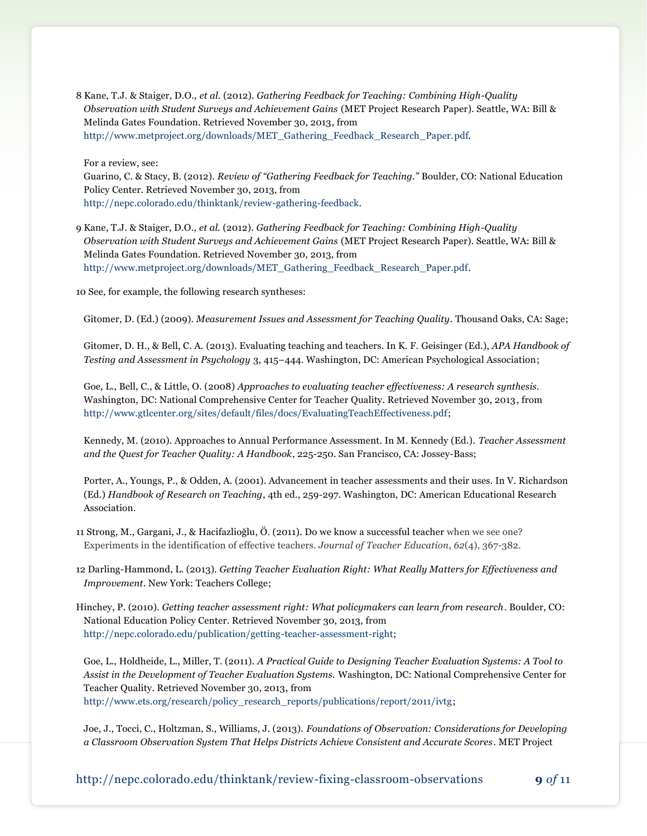8 Kane, T.J. & Staiger, D.O., *et al.* (2012). *Gathering Feedback for Teaching: Combining High-Quality Observation with Student Surveys and Achievement Gains* (MET Project Research Paper). Seattle, WA: Bill & Melinda Gates Foundation. Retrieved November 30, 2013, from [http://www.metproject.org/downloads/MET\\_Gathering\\_Feedback\\_Research\\_Paper.pdf.](http://www.metproject.org/downloads/MET_Gathering_Feedback_Research_Paper.pdf)

For a review, see: Guarino, C. & Stacy, B. (2012). *Review of "Gathering Feedback for Teaching."* Boulder, CO: National Education Policy Center. Retrieved November 30, 2013, from [http://nepc.colorado.edu/thinktank/review-gathering-feedback.](http://nepc.colorado.edu/thinktank/review-gathering-feedback)

9 Kane, T.J. & Staiger, D.O., *et al.* (2012). *Gathering Feedback for Teaching: Combining High-Quality Observation with Student Surveys and Achievement Gains* (MET Project Research Paper). Seattle, WA: Bill & Melinda Gates Foundation. Retrieved November 30, 2013, from [http://www.metproject.org/downloads/MET\\_Gathering\\_Feedback\\_Research\\_Paper.pdf.](http://www.metproject.org/downloads/MET_Gathering_Feedback_Research_Paper.pdf)

10 See, for example, the following research syntheses:

Gitomer, D. (Ed.) (2009). *Measurement Issues and Assessment for Teaching Quality*. Thousand Oaks, CA: Sage;

Gitomer, D. H., & Bell, C. A. (2013). Evaluating teaching and teachers. In K. F. Geisinger (Ed.), *APA Handbook of Testing and Assessment in Psychology* 3, 415–444. Washington, DC: American Psychological Association;

Goe, L., Bell, C., & Little, O. (2008) *Approaches to evaluating teacher effectiveness: A research synthesis.*  Washington, DC: National Comprehensive Center for Teacher Quality. Retrieved November 30, 2013, from [http://www.gtlcenter.org/sites/default/files/docs/EvaluatingTeachEffectiveness.pdf;](http://www.gtlcenter.org/sites/default/files/docs/EvaluatingTeachEffectiveness.pdf)

Kennedy, M. (2010). Approaches to Annual Performance Assessment. In M. Kennedy (Ed.). *Teacher Assessment and the Quest for Teacher Quality: A Handbook*, 225-250. San Francisco, CA: Jossey-Bass;

Porter, A., Youngs, P., & Odden, A. (2001). Advancement in teacher assessments and their uses. In V. Richardson (Ed.) *Handbook of Research on Teaching*, 4th ed., 259-297. Washington, DC: American Educational Research Association.

11 Strong, M., Gargani, J., & Hacifazlioğlu, Ö. (2011). Do we know a successful teacher when we see one? Experiments in the identification of effective teachers. *Journal of Teacher Education*, *62*(4), 367-382.

12 Darling-Hammond, L. (2013). *Getting Teacher Evaluation Right: What Really Matters for Effectiveness and Improvement*. New York: Teachers College;

Hinchey, P. (2010). *Getting teacher assessment right: What policymakers can learn from research*. Boulder, CO: National Education Policy Center. Retrieved November 30, 2013, from [http://nepc.colorado.edu/publication/getting-teacher-assessment-right;](http://nepc.colorado.edu/publication/getting-teacher-assessment-right)

Goe, L., Holdheide, L., Miller, T. (2011). *A Practical Guide to Designing Teacher Evaluation Systems: A Tool to Assist in the Development of Teacher Evaluation Systems.* Washington, DC: National Comprehensive Center for Teacher Quality. Retrieved November 30, 2013, from [http://www.ets.org/research/policy\\_research\\_reports/publications/report/2011/ivtg;](http://www.ets.org/research/policy_research_reports/publications/report/2011/ivtg)

Joe, J., Tocci, C., Holtzman, S., Williams, J. (2013). *Foundations of Observation: Considerations for Developing a Classroom Observation System That Helps Districts Achieve Consistent and Accurate Scores*. MET Project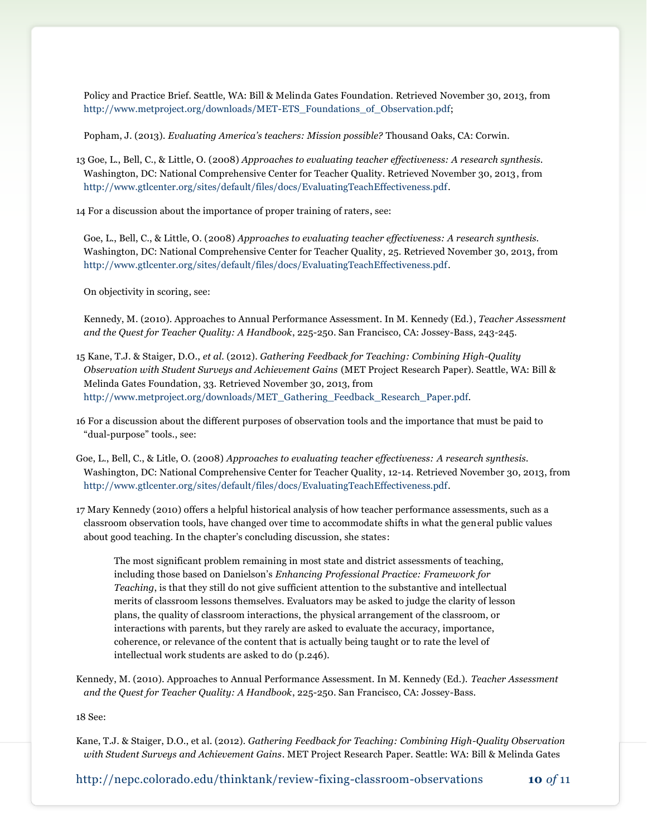Policy and Practice Brief. Seattle, WA: Bill & Melinda Gates Foundation. Retrieved November 30, 2013, from [http://www.metproject.org/downloads/MET-ETS\\_Foundations\\_of\\_Observation.pdf;](http://www.metproject.org/downloads/MET-ETS_Foundations_of_Observation.pdf)

Popham, J. (2013). *Evaluating America's teachers: Mission possible?* Thousand Oaks, CA: Corwin.

13 Goe, L., Bell, C., & Little, O. (2008) *Approaches to evaluating teacher effectiveness: A research synthesis.*  Washington, DC: National Comprehensive Center for Teacher Quality. Retrieved November 30, 2013, from [http://www.gtlcenter.org/sites/default/files/docs/EvaluatingTeachEffectiveness.pdf.](http://www.gtlcenter.org/sites/default/files/docs/EvaluatingTeachEffectiveness.pdf)

14 For a discussion about the importance of proper training of raters, see:

Goe, L., Bell, C., & Little, O. (2008) *Approaches to evaluating teacher effectiveness: A research synthesis.*  Washington, DC: National Comprehensive Center for Teacher Quality, 25. Retrieved November 30, 2013, from [http://www.gtlcenter.org/sites/default/files/docs/EvaluatingTeachEffectiveness.pdf.](http://www.gtlcenter.org/sites/default/files/docs/EvaluatingTeachEffectiveness.pdf)

On objectivity in scoring, see:

Kennedy, M. (2010). Approaches to Annual Performance Assessment. In M. Kennedy (Ed.), *Teacher Assessment and the Quest for Teacher Quality: A Handbook*, 225-250. San Francisco, CA: Jossey-Bass, 243-245.

15 Kane, T.J. & Staiger, D.O., *et al.* (2012). *Gathering Feedback for Teaching: Combining High-Quality Observation with Student Surveys and Achievement Gains* (MET Project Research Paper). Seattle, WA: Bill & Melinda Gates Foundation, 33. Retrieved November 30, 2013, from [http://www.metproject.org/downloads/MET\\_Gathering\\_Feedback\\_Research\\_Paper.pdf.](http://www.metproject.org/downloads/MET_Gathering_Feedback_Research_Paper.pdf)

16 For a discussion about the different purposes of observation tools and the importance that must be paid to "dual-purpose" tools., see:

Goe, L., Bell, C., & Litle, O. (2008) *Approaches to evaluating teacher effectiveness: A research synthesis.*  Washington, DC: National Comprehensive Center for Teacher Quality, 12-14. Retrieved November 30, 2013, from [http://www.gtlcenter.org/sites/default/files/docs/EvaluatingTeachEffectiveness.pdf.](http://www.gtlcenter.org/sites/default/files/docs/EvaluatingTeachEffectiveness.pdf)

17 Mary Kennedy (2010) offers a helpful historical analysis of how teacher performance assessments, such as a classroom observation tools, have changed over time to accommodate shifts in what the general public values about good teaching. In the chapter's concluding discussion, she states:

The most significant problem remaining in most state and district assessments of teaching, including those based on Danielson's *Enhancing Professional Practice: Framework for Teaching*, is that they still do not give sufficient attention to the substantive and intellectual merits of classroom lessons themselves. Evaluators may be asked to judge the clarity of lesson plans, the quality of classroom interactions, the physical arrangement of the classroom, or interactions with parents, but they rarely are asked to evaluate the accuracy, importance, coherence, or relevance of the content that is actually being taught or to rate the level of intellectual work students are asked to do (p.246).

Kennedy, M. (2010). Approaches to Annual Performance Assessment. In M. Kennedy (Ed.). *Teacher Assessment and the Quest for Teacher Quality: A Handbook*, 225-250. San Francisco, CA: Jossey-Bass.

18 See:

Kane, T.J. & Staiger, D.O., et al. (2012). *Gathering Feedback for Teaching: Combining High-Quality Observation with Student Surveys and Achievement Gains*. MET Project Research Paper. Seattle: WA: Bill & Melinda Gates

<http://nepc.colorado.edu/thinktank/review-fixing-classroom-observations> **10** *of* 11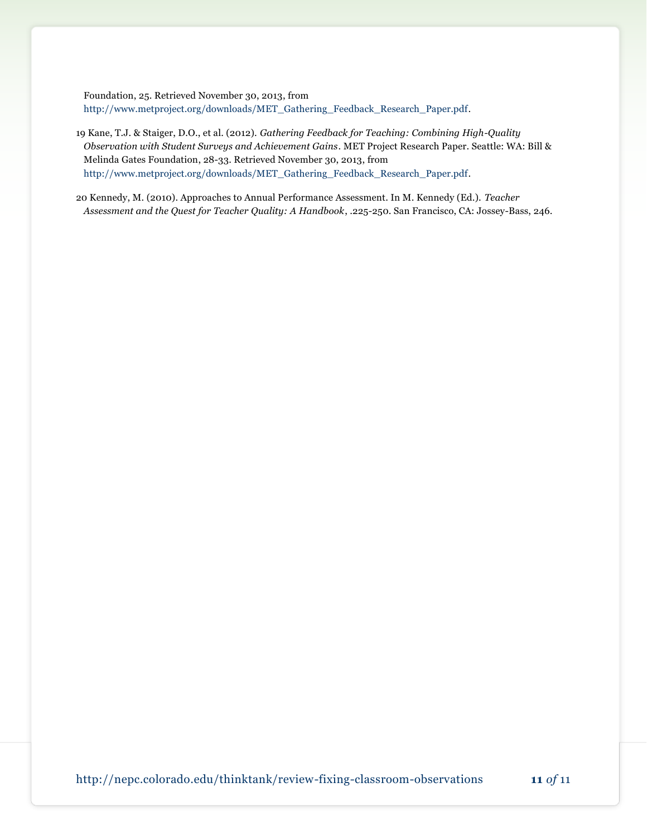Foundation, 25. Retrieved November 30, 2013, from [http://www.metproject.org/downloads/MET\\_Gathering\\_Feedback\\_Research\\_Paper.pdf.](http://www.metproject.org/downloads/MET_Gathering_Feedback_Research_Paper.pdf)

- 19 Kane, T.J. & Staiger, D.O., et al. (2012). *Gathering Feedback for Teaching: Combining High-Quality Observation with Student Surveys and Achievement Gains*. MET Project Research Paper. Seattle: WA: Bill & Melinda Gates Foundation, 28-33. Retrieved November 30, 2013, from [http://www.metproject.org/downloads/MET\\_Gathering\\_Feedback\\_Research\\_Paper.pdf.](http://www.metproject.org/downloads/MET_Gathering_Feedback_Research_Paper.pdf)
- 20 Kennedy, M. (2010). Approaches to Annual Performance Assessment. In M. Kennedy (Ed.). *Teacher Assessment and the Quest for Teacher Quality: A Handbook*, .225-250. San Francisco, CA: Jossey-Bass, 246.